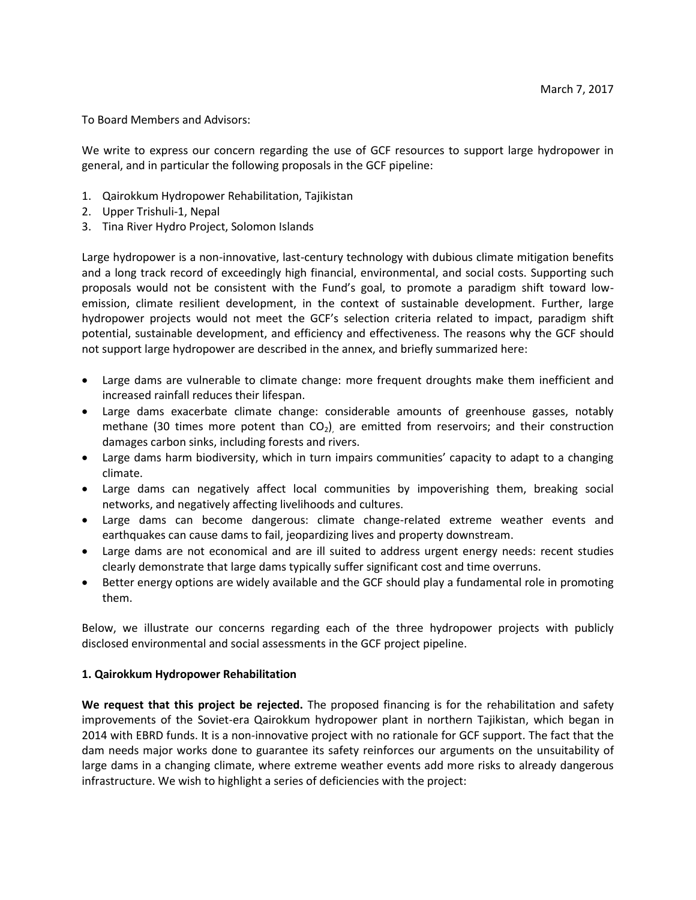To Board Members and Advisors:

We write to express our concern regarding the use of GCF resources to support large hydropower in general, and in particular the following proposals in the GCF pipeline:

- 1. Qairokkum Hydropower Rehabilitation, Tajikistan
- 2. Upper Trishuli-1, Nepal
- 3. Tina River Hydro Project, Solomon Islands

Large hydropower is a non-innovative, last-century technology with dubious climate mitigation benefits and a long track record of exceedingly high financial, environmental, and social costs. Supporting such proposals would not be consistent with the Fund's goal, to promote a paradigm shift toward lowemission, climate resilient development, in the context of sustainable development. Further, large hydropower projects would not meet the GCF's selection criteria related to impact, paradigm shift potential, sustainable development, and efficiency and effectiveness. The reasons why the GCF should not support large hydropower are described in the annex, and briefly summarized here:

- Large dams are vulnerable to climate change: more frequent droughts make them inefficient and increased rainfall reduces their lifespan.
- Large dams exacerbate climate change: considerable amounts of greenhouse gasses, notably methane (30 times more potent than  $CO<sub>2</sub>$ ), are emitted from reservoirs; and their construction damages carbon sinks, including forests and rivers.
- Large dams harm biodiversity, which in turn impairs communities' capacity to adapt to a changing climate.
- Large dams can negatively affect local communities by impoverishing them, breaking social networks, and negatively affecting livelihoods and cultures.
- Large dams can become dangerous: climate change-related extreme weather events and earthquakes can cause dams to fail, jeopardizing lives and property downstream.
- Large dams are not economical and are ill suited to address urgent energy needs: recent studies clearly demonstrate that large dams typically suffer significant cost and time overruns.
- Better energy options are widely available and the GCF should play a fundamental role in promoting them.

Below, we illustrate our concerns regarding each of the three hydropower projects with publicly disclosed environmental and social assessments in the GCF project pipeline.

## **1. Qairokkum Hydropower Rehabilitation**

**We request that this project be rejected.** The proposed financing is for the rehabilitation and safety improvements of the Soviet-era Qairokkum hydropower plant in northern Tajikistan, which began in 2014 with EBRD funds. It is a non-innovative project with no rationale for GCF support. The fact that the dam needs major works done to guarantee its safety reinforces our arguments on the unsuitability of large dams in a changing climate, where extreme weather events add more risks to already dangerous infrastructure. We wish to highlight a series of deficiencies with the project: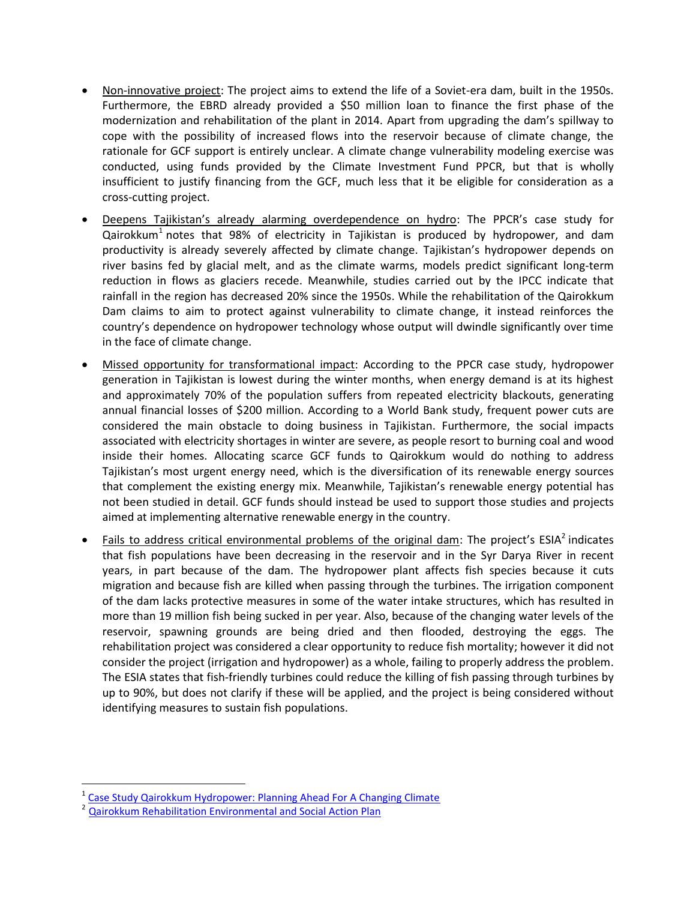- Non-innovative project: The project aims to extend the life of a Soviet-era dam, built in the 1950s. Furthermore, the EBRD already provided a \$50 million loan to finance the first phase of the modernization and rehabilitation of the plant in 2014. Apart from upgrading the dam's spillway to cope with the possibility of increased flows into the reservoir because of climate change, the rationale for GCF support is entirely unclear. A climate change vulnerability modeling exercise was conducted, using funds provided by the Climate Investment Fund PPCR, but that is wholly insufficient to justify financing from the GCF, much less that it be eligible for consideration as a cross-cutting project.
- Deepens Tajikistan's already alarming overdependence on hydro: The PPCR's case study for Qairokkum<sup>1</sup> notes that 98% of electricity in Tajikistan is produced by hydropower, and dam productivity is already severely affected by climate change. Tajikistan's hydropower depends on river basins fed by glacial melt, and as the climate warms, models predict significant long-term reduction in flows as glaciers recede. Meanwhile, studies carried out by the IPCC indicate that rainfall in the region has decreased 20% since the 1950s. While the rehabilitation of the Qairokkum Dam claims to aim to protect against vulnerability to climate change, it instead reinforces the country's dependence on hydropower technology whose output will dwindle significantly over time in the face of climate change.
- Missed opportunity for transformational impact: According to the PPCR case study, hydropower generation in Tajikistan is lowest during the winter months, when energy demand is at its highest and approximately 70% of the population suffers from repeated electricity blackouts, generating annual financial losses of \$200 million. According to a World Bank study, frequent power cuts are considered the main obstacle to doing business in Tajikistan. Furthermore, the social impacts associated with electricity shortages in winter are severe, as people resort to burning coal and wood inside their homes. Allocating scarce GCF funds to Qairokkum would do nothing to address Tajikistan's most urgent energy need, which is the diversification of its renewable energy sources that complement the existing energy mix. Meanwhile, Tajikistan's renewable energy potential has not been studied in detail. GCF funds should instead be used to support those studies and projects aimed at implementing alternative renewable energy in the country.
- Fails to address critical environmental problems of the original dam: The project's  $ESIA<sup>2</sup>$  indicates that fish populations have been decreasing in the reservoir and in the Syr Darya River in recent years, in part because of the dam. The hydropower plant affects fish species because it cuts migration and because fish are killed when passing through the turbines. The irrigation component of the dam lacks protective measures in some of the water intake structures, which has resulted in more than 19 million fish being sucked in per year. Also, because of the changing water levels of the reservoir, spawning grounds are being dried and then flooded, destroying the eggs. The rehabilitation project was considered a clear opportunity to reduce fish mortality; however it did not consider the project (irrigation and hydropower) as a whole, failing to properly address the problem. The ESIA states that fish-friendly turbines could reduce the killing of fish passing through turbines by up to 90%, but does not clarify if these will be applied, and the project is being considered without identifying measures to sustain fish populations.

<sup>&</sup>lt;sup>1</sup> [Case Study Qairokkum Hydropower: Planning Ahead For A Changing Climate](http://www.ppcr.tj/jdownloads/PPCR%20Projects/case_study_about_the_qairokkum_hydropower_project.pdf)

<sup>2</sup> [Qairokkum Rehabilitation Environmental and Social Action Plan](http://www.ebrd.com/documents/comms-and-bis/tajikistan-qairokkum-hpp-climate-resilience-upgrade.pdf)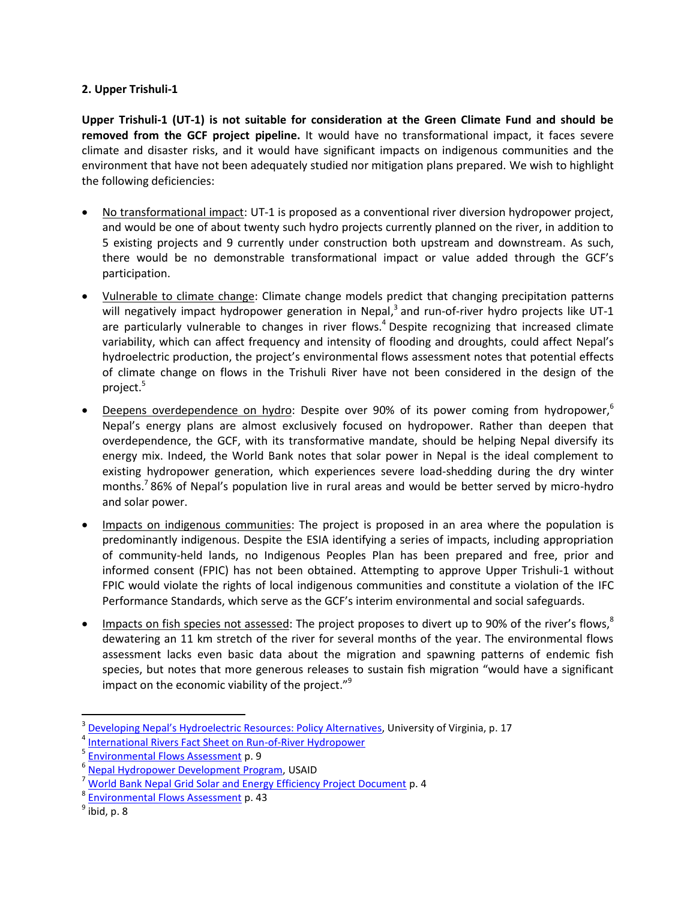## **2. Upper Trishuli-1**

**Upper Trishuli-1 (UT-1) is not suitable for consideration at the Green Climate Fund and should be removed from the GCF project pipeline.** It would have no transformational impact, it faces severe climate and disaster risks, and it would have significant impacts on indigenous communities and the environment that have not been adequately studied nor mitigation plans prepared. We wish to highlight the following deficiencies:

- No transformational impact: UT-1 is proposed as a conventional river diversion hydropower project, and would be one of about twenty such hydro projects currently planned on the river, in addition to 5 existing projects and 9 currently under construction both upstream and downstream. As such, there would be no demonstrable transformational impact or value added through the GCF's participation.
- Vulnerable to climate change: Climate change models predict that changing precipitation patterns will negatively impact hydropower generation in Nepal,<sup>3</sup> and run-of-river hydro projects like UT-1 are particularly vulnerable to changes in river flows.<sup>4</sup> Despite recognizing that increased climate variability, which can affect frequency and intensity of flooding and droughts, could affect Nepal's hydroelectric production, the project's environmental flows assessment notes that potential effects of climate change on flows in the Trishuli River have not been considered in the design of the project.<sup>5</sup>
- Deepens overdependence on hydro: Despite over 90% of its power coming from hydropower,<sup>6</sup> Nepal's energy plans are almost exclusively focused on hydropower. Rather than deepen that overdependence, the GCF, with its transformative mandate, should be helping Nepal diversify its energy mix. Indeed, the World Bank notes that solar power in Nepal is the ideal complement to existing hydropower generation, which experiences severe load-shedding during the dry winter months.<sup>7</sup> 86% of Nepal's population live in rural areas and would be better served by micro-hydro and solar power.
- Impacts on indigenous communities: The project is proposed in an area where the population is predominantly indigenous. Despite the ESIA identifying a series of impacts, including appropriation of community-held lands, no Indigenous Peoples Plan has been prepared and free, prior and informed consent (FPIC) has not been obtained. Attempting to approve Upper Trishuli-1 without FPIC would violate the rights of local indigenous communities and constitute a violation of the IFC Performance Standards, which serve as the GCF's interim environmental and social safeguards.
- Impacts on fish species not assessed: The project proposes to divert up to 90% of the river's flows, $8^{\circ}$ dewatering an 11 km stretch of the river for several months of the year. The environmental flows assessment lacks even basic data about the migration and spawning patterns of endemic fish species, but notes that more generous releases to sustain fish migration "would have a significant impact on the economic viability of the project. $3^9$

<sup>3</sup> Develo[ping Nepal's Hydroelectric Resources: Policy Alternatives](https://www.stimson.org/sites/default/files/file-attachments/Developing_Nepals_Hydroelectric_Resources_-_Policy_Alternatives.pdf), University of Virginia, p. 17

<sup>4</sup> [International Rivers Fact Sheet on Run-of-River Hydropower](https://www.internationalrivers.org/sites/default/files/attached-files/run_of_river_fact_sheet.pdf)

<sup>&</sup>lt;sup>5</sup> [Environmental Flows Assessment](http://ifcextapps.ifc.org/IFCExt/spiwebsite1.nsf/0/c0c5f97854bf6e4885257de90056f4b4/$FILE/UT-1%20Supplemental%20ESIA_Appendix%20E_2014_Environmental%20Flows%20Assessment.pdf) p. 9

<sup>&</sup>lt;sup>6</sup> [Nepal Hydropower Development Program,](https://www.usaid.gov/nepal/fact-sheets/nepal-hydropower-development-program-nhdp) USAID

<sup>7</sup> [World Bank Nepal Grid Solar and Energy Efficiency Project Document](http://documents.worldbank.org/curated/en/572781468122661283/pdf/PAD10110P1463400900IDA0R20140034601.pdf) p. 4

<sup>&</sup>lt;sup>8</sup> [Environmental Flows Assessment](http://ifcextapps.ifc.org/IFCExt/spiwebsite1.nsf/0/c0c5f97854bf6e4885257de90056f4b4/$FILE/UT-1%20Supplemental%20ESIA_Appendix%20E_2014_Environmental%20Flows%20Assessment.pdf) p. 43

 $^9$  ibid, p. 8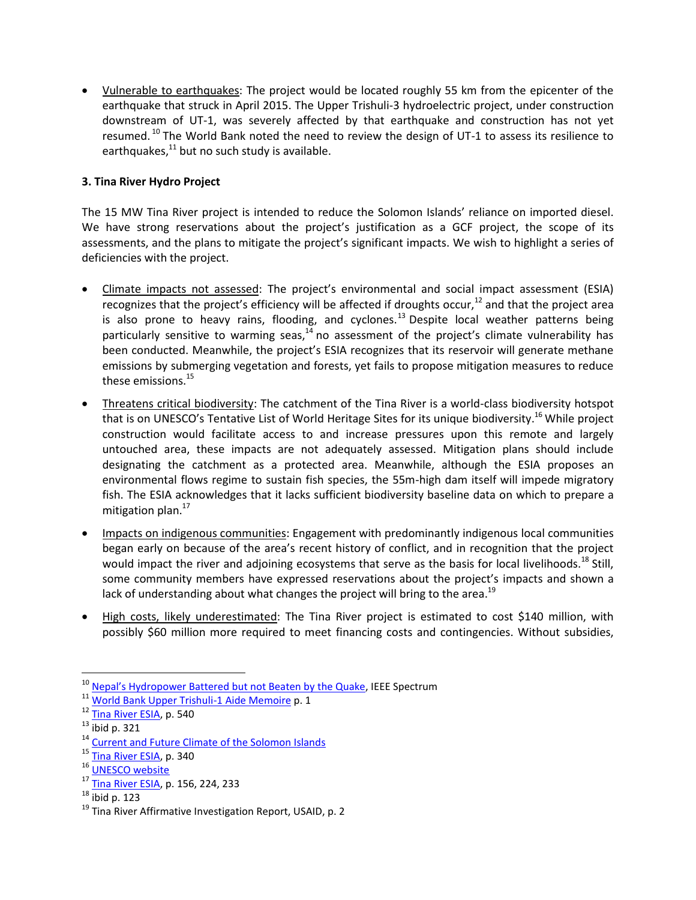Vulnerable to earthquakes: The project would be located roughly 55 km from the epicenter of the earthquake that struck in April 2015. The Upper Trishuli-3 hydroelectric project, under construction downstream of UT-1, was severely affected by that earthquake and construction has not yet resumed.<sup>10</sup> The World Bank noted the need to review the design of UT-1 to assess its resilience to earthquakes, $^{11}$  but no such study is available.

## **3. Tina River Hydro Project**

The 15 MW Tina River project is intended to reduce the Solomon Islands' reliance on imported diesel. We have strong reservations about the project's justification as a GCF project, the scope of its assessments, and the plans to mitigate the project's significant impacts. We wish to highlight a series of deficiencies with the project.

- Climate impacts not assessed: The project's environmental and social impact assessment (ESIA) recognizes that the project's efficiency will be affected if droughts occur,<sup>12</sup> and that the project area is also prone to heavy rains, flooding, and cyclones.<sup>13</sup> Despite local weather patterns being particularly sensitive to warming seas, $^{14}$  no assessment of the project's climate vulnerability has been conducted. Meanwhile, the project's ESIA recognizes that its reservoir will generate methane emissions by submerging vegetation and forests, yet fails to propose mitigation measures to reduce these emissions.<sup>15</sup>
- Threatens critical biodiversity: The catchment of the Tina River is a world-class biodiversity hotspot that is on UNESCO's Tentative List of World Heritage Sites for its unique biodiversity.<sup>16</sup> While project construction would facilitate access to and increase pressures upon this remote and largely untouched area, these impacts are not adequately assessed. Mitigation plans should include designating the catchment as a protected area. Meanwhile, although the ESIA proposes an environmental flows regime to sustain fish species, the 55m-high dam itself will impede migratory fish. The ESIA acknowledges that it lacks sufficient biodiversity baseline data on which to prepare a mitigation plan.<sup>17</sup>
- Impacts on indigenous communities: Engagement with predominantly indigenous local communities began early on because of the area's recent history of conflict, and in recognition that the project would impact the river and adjoining ecosystems that serve as the basis for local livelihoods.<sup>18</sup> Still, some community members have expressed reservations about the project's impacts and shown a lack of understanding about what changes the project will bring to the area.<sup>19</sup>
- High costs, likely underestimated: The Tina River project is estimated to cost \$140 million, with possibly \$60 million more required to meet financing costs and contingencies. Without subsidies,

<sup>&</sup>lt;sup>10</sup> [Nepal's Hydropower Battered but not Beaten by the Quake](http://spectrum.ieee.org/energywise/energy/renewables/nepals-hydropowerbased-power-system-survived-its-m79-quake-), IEEE Spectrum

<sup>11</sup> [World Bank Upper Trishuli-1 Aide Memoire](http://documents.worldbank.org/curated/en/649151468179351577/pdf/99241-AM-P154109-Box393191B-PUBLIC.pdf) p. 1

<sup>&</sup>lt;sup>12</sup> [Tina River ESIA,](http://documents.worldbank.org/curated/en/768061471430569820/Environmental-and-social-impact-assessment) p. 540

 $13$  ibid p. 321

<sup>&</sup>lt;sup>14</sup> [Current and Future Climate of the Solomon Islands](http://www.pacificclimatechangescience.org/wp-content/uploads/2013/06/13_PCCSP_Solomon_Islands_8pp.pdf)

<sup>&</sup>lt;sup>15</sup> [Tina River ESIA,](http://documents.worldbank.org/curated/en/768061471430569820/Environmental-and-social-impact-assessment) p. 340

<sup>16</sup> [UNESCO website](http://whc.unesco.org/en/tentativelists/5416/)

<sup>17</sup> [Tina River ESIA,](http://documents.worldbank.org/curated/en/768061471430569820/Environmental-and-social-impact-assessment) p. 156, 224, 233

 $18$  ibid p. 123

<sup>&</sup>lt;sup>19</sup> Tina River Affirmative Investigation Report, USAID, p. 2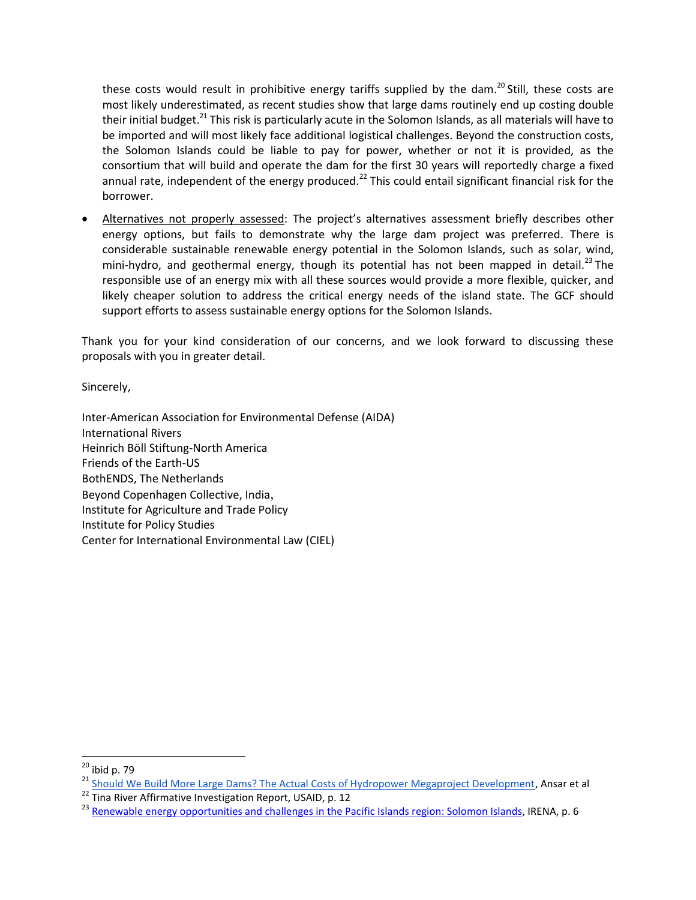these costs would result in prohibitive energy tariffs supplied by the dam.<sup>20</sup> Still, these costs are most likely underestimated, as recent studies show that large dams routinely end up costing double their initial budget.<sup>21</sup> This risk is particularly acute in the Solomon Islands, as all materials will have to be imported and will most likely face additional logistical challenges. Beyond the construction costs, the Solomon Islands could be liable to pay for power, whether or not it is provided, as the consortium that will build and operate the dam for the first 30 years will reportedly charge a fixed annual rate, independent of the energy produced.<sup>22</sup> This could entail significant financial risk for the borrower.

 Alternatives not properly assessed: The project's alternatives assessment briefly describes other energy options, but fails to demonstrate why the large dam project was preferred. There is considerable sustainable renewable energy potential in the Solomon Islands, such as solar, wind, mini-hydro, and geothermal energy, though its potential has not been mapped in detail.<sup>23</sup> The responsible use of an energy mix with all these sources would provide a more flexible, quicker, and likely cheaper solution to address the critical energy needs of the island state. The GCF should support efforts to assess sustainable energy options for the Solomon Islands.

Thank you for your kind consideration of our concerns, and we look forward to discussing these proposals with you in greater detail.

Sincerely,

Inter-American Association for Environmental Defense (AIDA) International Rivers Heinrich Böll Stiftung-North America Friends of the Earth-US BothENDS, The Netherlands Beyond Copenhagen Collective, India, Institute for Agriculture and Trade Policy Institute for Policy Studies Center for International Environmental Law (CIEL)

 $20$  ibid p. 79

<sup>&</sup>lt;sup>21</sup> [Should We Build More Large Dams? The Actual Costs of Hydropower Megaproject Development,](https://papers.ssrn.com/sol3/papers.cfm?abstract_id=2406852) Ansar et al

 $22$  Tina River Affirmative Investigation Report, USAID, p. 12

<sup>&</sup>lt;sup>23</sup> [Renewable energy opportunities and challenges in the Pacific Islands region: Solomon Islands,](http://www.irena.org/DocumentDownloads/Publications/Solomon-Islands.pdf) IRENA, p. 6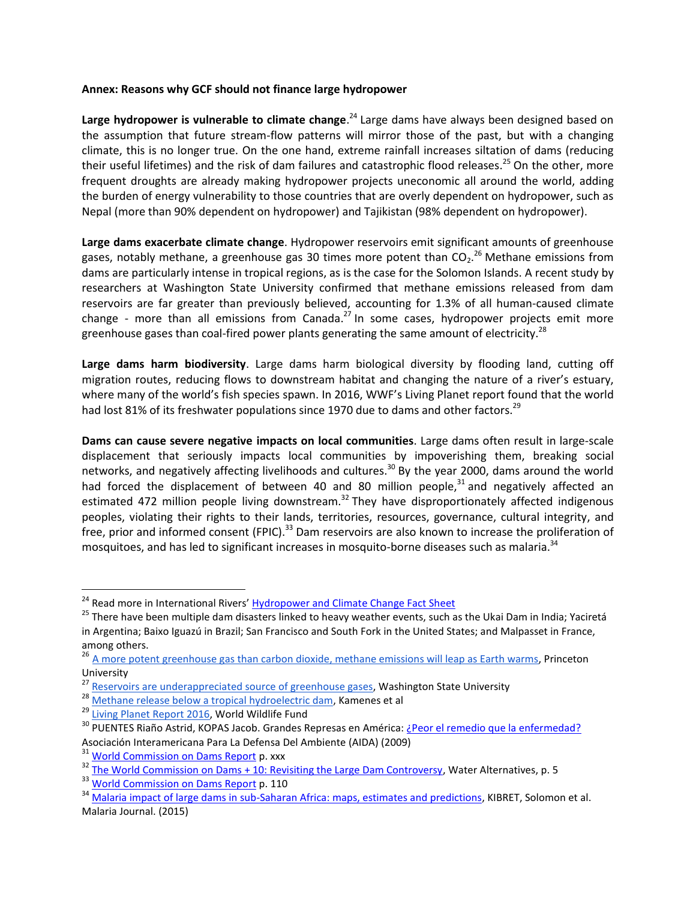## **Annex: Reasons why GCF should not finance large hydropower**

Large hydropower is vulnerable to climate change.<sup>24</sup> Large dams have always been designed based on the assumption that future stream-flow patterns will mirror those of the past, but with a changing climate, this is no longer true. On the one hand, extreme rainfall increases siltation of dams (reducing their useful lifetimes) and the risk of dam failures and catastrophic flood releases.<sup>25</sup> On the other, more frequent droughts are already making hydropower projects uneconomic all around the world, adding the burden of energy vulnerability to those countries that are overly dependent on hydropower, such as Nepal (more than 90% dependent on hydropower) and Tajikistan (98% dependent on hydropower).

**Large dams exacerbate climate change**. Hydropower reservoirs emit significant amounts of greenhouse gases, notably methane, a greenhouse gas 30 times more potent than  $\mathsf{CO_2}^{26}$  Methane emissions from dams are particularly intense in tropical regions, as is the case for the Solomon Islands. A recent study by researchers at Washington State University confirmed that methane emissions released from dam reservoirs are far greater than previously believed, accounting for 1.3% of all human-caused climate change - more than all emissions from Canada.<sup>27</sup> In some cases, hydropower projects emit more greenhouse gases than coal-fired power plants generating the same amount of electricity.<sup>28</sup>

**Large dams harm biodiversity**. Large dams harm biological diversity by flooding land, cutting off migration routes, reducing flows to downstream habitat and changing the nature of a river's estuary, where many of the world's fish species spawn. In 2016, WWF's Living Planet report found that the world had lost 81% of its freshwater populations since 1970 due to dams and other factors.<sup>29</sup>

**Dams can cause severe negative impacts on local communities**. Large dams often result in large-scale displacement that seriously impacts local communities by impoverishing them, breaking social networks, and negatively affecting livelihoods and cultures.<sup>30</sup> By the year 2000, dams around the world had forced the displacement of between 40 and 80 million people, $31$  and negatively affected an estimated 472 million people living downstream.<sup>32</sup> They have disproportionately affected indigenous peoples, violating their rights to their lands, territories, resources, governance, cultural integrity, and free, prior and informed consent (FPIC).<sup>33</sup> Dam reservoirs are also known to increase the proliferation of mosquitoes, and has led to significant increases in mosquito-borne diseases such as malaria.<sup>34</sup>

<sup>&</sup>lt;sup>24</sup> Read more in International Rivers' [Hydropower and Climate Change Fact Sheet](https://www.internationalrivers.org/sites/default/files/attached-files/intlrivers_wrongclimate_4.pdf)

<sup>&</sup>lt;sup>25</sup> There have been multiple dam disasters linked to heavy weather events, such as the Ukai Dam in India; Yaciretá in Argentina; Baixo Iguazú in Brazil; San Francisco and South Fork in the United States; and Malpasset in France, among others.

<sup>&</sup>lt;sup>26</sup> [A more potent greenhouse gas than carbon dioxide, methane emissions will leap as Earth warms,](https://www.sciencedaily.com/releases/2014/03/140327111724.htm) Princeton University

<sup>27</sup> [Reservoirs are underappreciated source of greenhouse gases,](https://news.wsu.edu/2016/09/28/reservoirs-play-substantial-role-global-warming/) Washington State University

<sup>28</sup> [Methane release below a tropical hydroelectric dam,](http://onlinelibrary.wiley.com/doi/10.1029/2007GL029479/abstract) Kamenes et al

<sup>&</sup>lt;sup>29</sup> [Living Planet Report 2016,](http://wwf.panda.org/about_our_earth/all_publications/lpr_2016/) World Wildlife Fund

<sup>&</sup>lt;sup>30</sup> PUENTES Riaño Astrid, KOPAS Jacob. Grandes Represas en América: [¿Peor el remedio que la enfermedad?](http://www.aida-americas.org/sites/default/files/InformeAIDA_GrandesRepreseas_BajaRes.pdf) Asociación Interamericana Para La Defensa Del Ambiente (AIDA) (2009)

<sup>&</sup>lt;sup>31</sup> [World Commission on Dams Report](https://www.internationalrivers.org/sites/default/files/attached-files/world_commission_on_dams_final_report.pdf) p. xxx

<sup>&</sup>lt;sup>32</sup> [The World Commission on Dams + 10: Revisiting the Large Dam Controversy,](http://www.water-alternatives.org/index.php/volume3/v3issue2/79-a3-2-2/file) Water Alternatives, p. 5

<sup>&</sup>lt;sup>33</sup> [World Commission on Dams Report](https://www.internationalrivers.org/sites/default/files/attached-files/world_commission_on_dams_final_report.pdf) p. 110

<sup>&</sup>lt;sup>34</sup> [Malaria impact of large dams in sub-Saharan Africa: maps, estimates and predictions,](http://malariajournal.biomedcentral.com/articles/10.1186/s12936-015-0873-2) KIBRET, Solomon et al. Malaria Journal. (2015)